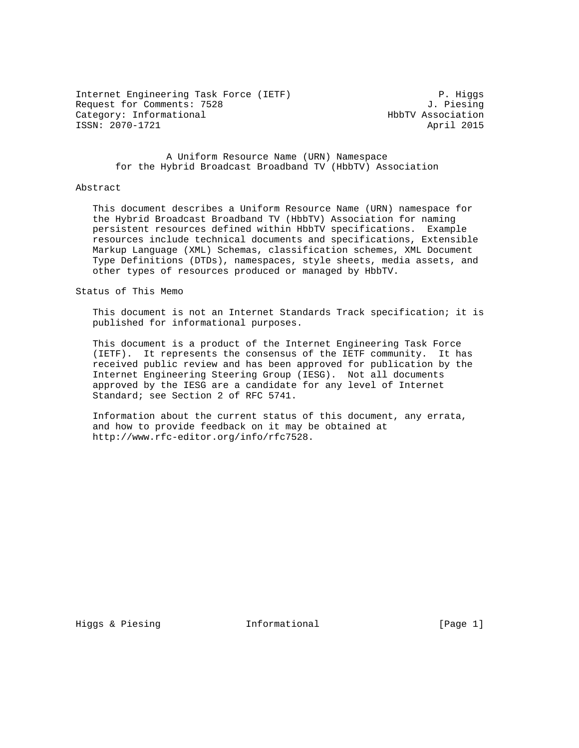Internet Engineering Task Force (IETF) P. Higgs Request for Comments: 7528 J. Piesing Category: Informational extension of the HbbTV Association ISSN: 2070-1721 April 2015

 A Uniform Resource Name (URN) Namespace for the Hybrid Broadcast Broadband TV (HbbTV) Association

#### Abstract

 This document describes a Uniform Resource Name (URN) namespace for the Hybrid Broadcast Broadband TV (HbbTV) Association for naming persistent resources defined within HbbTV specifications. Example resources include technical documents and specifications, Extensible Markup Language (XML) Schemas, classification schemes, XML Document Type Definitions (DTDs), namespaces, style sheets, media assets, and other types of resources produced or managed by HbbTV.

### Status of This Memo

 This document is not an Internet Standards Track specification; it is published for informational purposes.

 This document is a product of the Internet Engineering Task Force (IETF). It represents the consensus of the IETF community. It has received public review and has been approved for publication by the Internet Engineering Steering Group (IESG). Not all documents approved by the IESG are a candidate for any level of Internet Standard; see Section 2 of RFC 5741.

 Information about the current status of this document, any errata, and how to provide feedback on it may be obtained at http://www.rfc-editor.org/info/rfc7528.

Higgs & Piesing Theormational Figgs & Piesing and Informational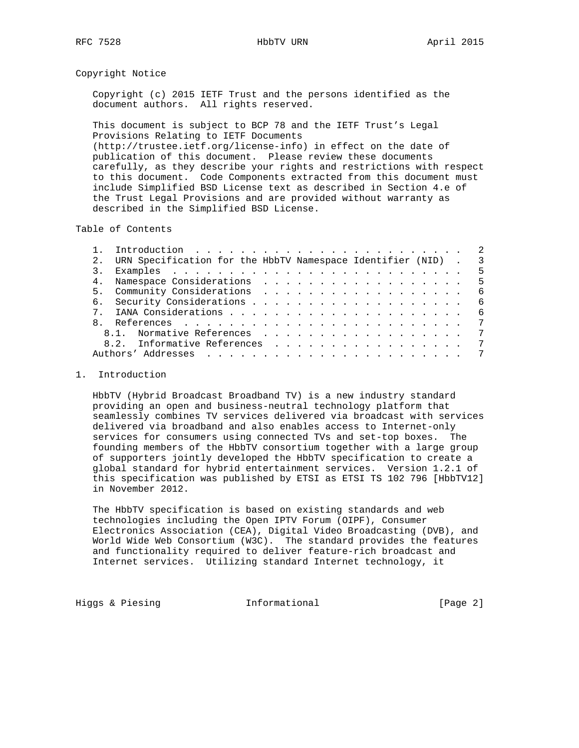## Copyright Notice

 Copyright (c) 2015 IETF Trust and the persons identified as the document authors. All rights reserved.

 This document is subject to BCP 78 and the IETF Trust's Legal Provisions Relating to IETF Documents (http://trustee.ietf.org/license-info) in effect on the date of publication of this document. Please review these documents carefully, as they describe your rights and restrictions with respect to this document. Code Components extracted from this document must include Simplified BSD License text as described in Section 4.e of the Trust Legal Provisions and are provided without warranty as described in the Simplified BSD License.

Table of Contents

|                | URN Specification for the HbbTV Namespace Identifier (NID) . 3 |  |  |  |  |  |  |  |      |    |
|----------------|----------------------------------------------------------------|--|--|--|--|--|--|--|------|----|
|                |                                                                |  |  |  |  |  |  |  |      | -5 |
| 4 <sub>1</sub> |                                                                |  |  |  |  |  |  |  | $-5$ |    |
|                |                                                                |  |  |  |  |  |  |  |      |    |
|                |                                                                |  |  |  |  |  |  |  | - 6  |    |
|                |                                                                |  |  |  |  |  |  |  |      | 6  |
|                |                                                                |  |  |  |  |  |  |  |      | -7 |
|                | 8.1. Normative References                                      |  |  |  |  |  |  |  |      | 7  |
|                | 8.2. Informative References                                    |  |  |  |  |  |  |  |      | 7  |
|                |                                                                |  |  |  |  |  |  |  |      | 7  |
|                |                                                                |  |  |  |  |  |  |  |      |    |

# 1. Introduction

 HbbTV (Hybrid Broadcast Broadband TV) is a new industry standard providing an open and business-neutral technology platform that seamlessly combines TV services delivered via broadcast with services delivered via broadband and also enables access to Internet-only services for consumers using connected TVs and set-top boxes. The founding members of the HbbTV consortium together with a large group of supporters jointly developed the HbbTV specification to create a global standard for hybrid entertainment services. Version 1.2.1 of this specification was published by ETSI as ETSI TS 102 796 [HbbTV12] in November 2012.

 The HbbTV specification is based on existing standards and web technologies including the Open IPTV Forum (OIPF), Consumer Electronics Association (CEA), Digital Video Broadcasting (DVB), and World Wide Web Consortium (W3C). The standard provides the features and functionality required to deliver feature-rich broadcast and Internet services. Utilizing standard Internet technology, it

Higgs & Piesing **Informational** [Page 2]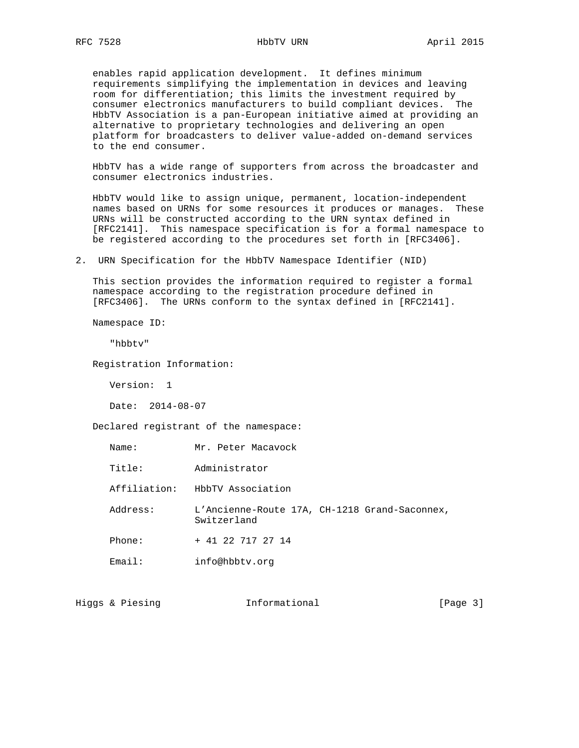enables rapid application development. It defines minimum requirements simplifying the implementation in devices and leaving room for differentiation; this limits the investment required by consumer electronics manufacturers to build compliant devices. The HbbTV Association is a pan-European initiative aimed at providing an alternative to proprietary technologies and delivering an open platform for broadcasters to deliver value-added on-demand services to the end consumer.

 HbbTV has a wide range of supporters from across the broadcaster and consumer electronics industries.

 HbbTV would like to assign unique, permanent, location-independent names based on URNs for some resources it produces or manages. These URNs will be constructed according to the URN syntax defined in [RFC2141]. This namespace specification is for a formal namespace to be registered according to the procedures set forth in [RFC3406].

2. URN Specification for the HbbTV Namespace Identifier (NID)

 This section provides the information required to register a formal namespace according to the registration procedure defined in [RFC3406]. The URNs conform to the syntax defined in [RFC2141].

Namespace ID:

"hbbtv"

Registration Information:

Version: 1

Date: 2014-08-07

Declared registrant of the namespace:

| Name:                            | Mr. Peter Macavock                                           |
|----------------------------------|--------------------------------------------------------------|
| T <sub>i</sub> t <sub>i</sub> e: | Administrator                                                |
| Affiliation:                     | HbbTV Association                                            |
| Address:                         | L'Ancienne-Route 17A, CH-1218 Grand-Saconnex,<br>Switzerland |
| Phone:                           | + 41 22 717 27 14                                            |
| Email:                           | info@hbbtv.org                                               |

Higgs & Piesing **Informational Informational** [Page 3]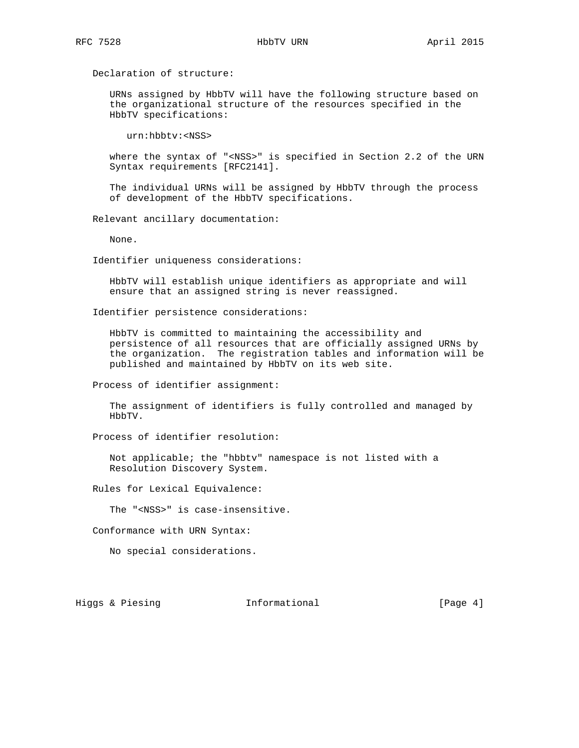Declaration of structure:

 URNs assigned by HbbTV will have the following structure based on the organizational structure of the resources specified in the HbbTV specifications:

urn:hbbtv:<NSS>

 where the syntax of "<NSS>" is specified in Section 2.2 of the URN Syntax requirements [RFC2141].

 The individual URNs will be assigned by HbbTV through the process of development of the HbbTV specifications.

Relevant ancillary documentation:

None.

Identifier uniqueness considerations:

 HbbTV will establish unique identifiers as appropriate and will ensure that an assigned string is never reassigned.

Identifier persistence considerations:

 HbbTV is committed to maintaining the accessibility and persistence of all resources that are officially assigned URNs by the organization. The registration tables and information will be published and maintained by HbbTV on its web site.

Process of identifier assignment:

 The assignment of identifiers is fully controlled and managed by HbbTV.

Process of identifier resolution:

 Not applicable; the "hbbtv" namespace is not listed with a Resolution Discovery System.

Rules for Lexical Equivalence:

The "<NSS>" is case-insensitive.

Conformance with URN Syntax:

No special considerations.

Higgs & Piesing **Informational** [Page 4]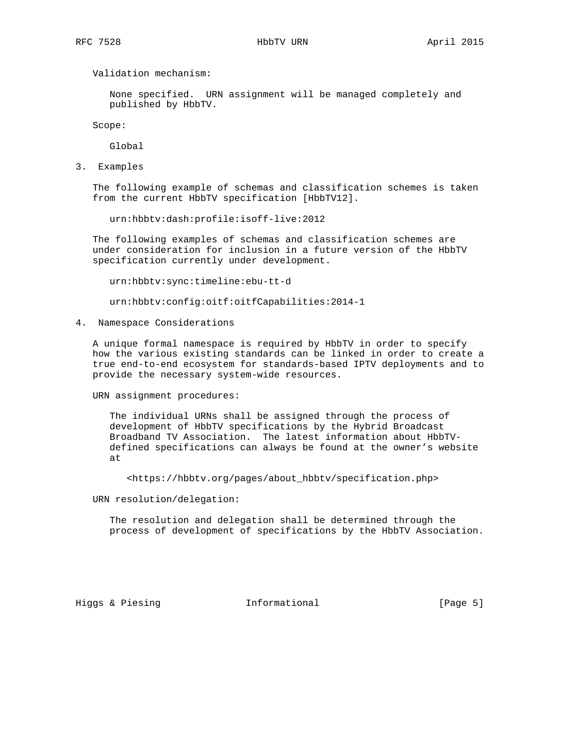Validation mechanism:

 None specified. URN assignment will be managed completely and published by HbbTV.

Scope:

Global

3. Examples

 The following example of schemas and classification schemes is taken from the current HbbTV specification [HbbTV12].

urn:hbbtv:dash:profile:isoff-live:2012

 The following examples of schemas and classification schemes are under consideration for inclusion in a future version of the HbbTV specification currently under development.

urn:hbbtv:sync:timeline:ebu-tt-d

urn:hbbtv:config:oitf:oitfCapabilities:2014-1

4. Namespace Considerations

 A unique formal namespace is required by HbbTV in order to specify how the various existing standards can be linked in order to create a true end-to-end ecosystem for standards-based IPTV deployments and to provide the necessary system-wide resources.

URN assignment procedures:

 The individual URNs shall be assigned through the process of development of HbbTV specifications by the Hybrid Broadcast Broadband TV Association. The latest information about HbbTV defined specifications can always be found at the owner's website at

<https://hbbtv.org/pages/about\_hbbtv/specification.php>

URN resolution/delegation:

 The resolution and delegation shall be determined through the process of development of specifications by the HbbTV Association.

Higgs & Piesing Theormational Figgs & Piesing and Informational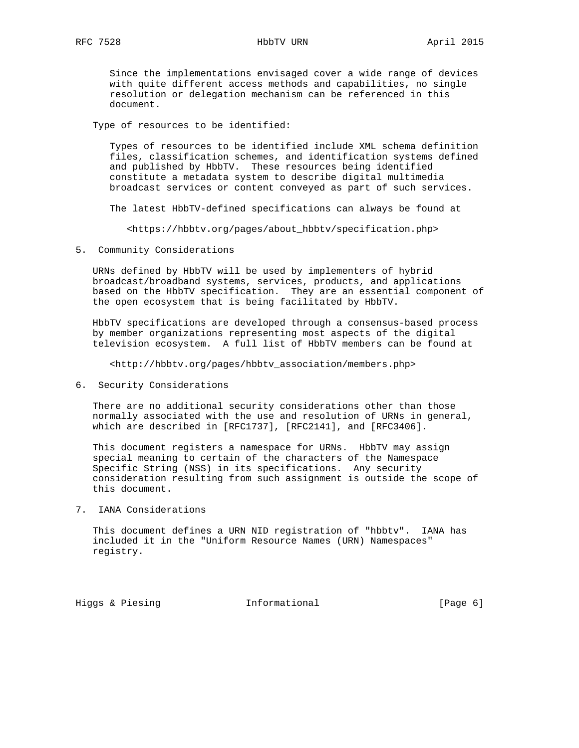Since the implementations envisaged cover a wide range of devices with quite different access methods and capabilities, no single resolution or delegation mechanism can be referenced in this document.

Type of resources to be identified:

 Types of resources to be identified include XML schema definition files, classification schemes, and identification systems defined and published by HbbTV. These resources being identified constitute a metadata system to describe digital multimedia broadcast services or content conveyed as part of such services.

The latest HbbTV-defined specifications can always be found at

<https://hbbtv.org/pages/about\_hbbtv/specification.php>

5. Community Considerations

 URNs defined by HbbTV will be used by implementers of hybrid broadcast/broadband systems, services, products, and applications based on the HbbTV specification. They are an essential component of the open ecosystem that is being facilitated by HbbTV.

 HbbTV specifications are developed through a consensus-based process by member organizations representing most aspects of the digital television ecosystem. A full list of HbbTV members can be found at

<http://hbbtv.org/pages/hbbtv\_association/members.php>

6. Security Considerations

 There are no additional security considerations other than those normally associated with the use and resolution of URNs in general, which are described in [RFC1737], [RFC2141], and [RFC3406].

 This document registers a namespace for URNs. HbbTV may assign special meaning to certain of the characters of the Namespace Specific String (NSS) in its specifications. Any security consideration resulting from such assignment is outside the scope of this document.

7. IANA Considerations

 This document defines a URN NID registration of "hbbtv". IANA has included it in the "Uniform Resource Names (URN) Namespaces" registry.

Higgs & Piesing **Informational Informational** [Page 6]